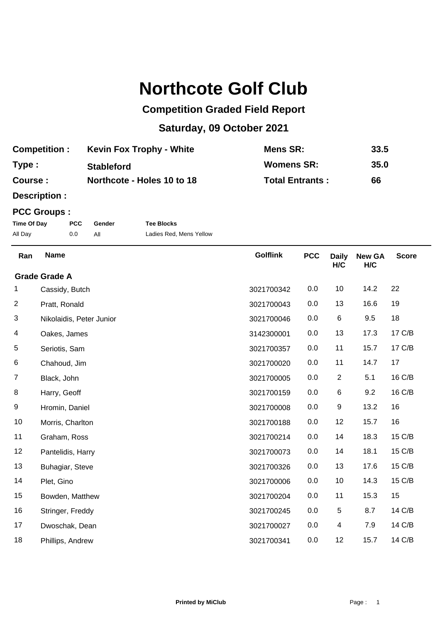## **Northcote Golf Club**

## **Competition Graded Field Report**

## **Saturday, 09 October 2021**

| <b>Competition:</b> | <b>Kevin Fox Trophy - White</b> | Mens SR:               | 33.5 |
|---------------------|---------------------------------|------------------------|------|
| Type:               | <b>Stableford</b>               | <b>Womens SR:</b>      | 35.0 |
| Course :            | Northcote - Holes 10 to 18      | <b>Total Entrants:</b> | 66   |

**Description :**

## **PCC Groups :**

| Time Of Day | <b>PCC</b> | Gender | <b>Tee Blocks</b>       |
|-------------|------------|--------|-------------------------|
| All Day     | 0.0        |        | Ladies Red, Mens Yellow |

| Ran            | <b>Name</b>              | <b>Golflink</b> | <b>PCC</b> | <b>Daily</b><br>H/C | <b>New GA</b><br>H/C | <b>Score</b> |  |  |
|----------------|--------------------------|-----------------|------------|---------------------|----------------------|--------------|--|--|
|                | <b>Grade Grade A</b>     |                 |            |                     |                      |              |  |  |
| 1              | Cassidy, Butch           | 3021700342      | 0.0        | 10                  | 14.2                 | 22           |  |  |
| $\overline{c}$ | Pratt, Ronald            | 3021700043      | 0.0        | 13                  | 16.6                 | 19           |  |  |
| 3              | Nikolaidis, Peter Junior | 3021700046      | 0.0        | 6                   | 9.5                  | 18           |  |  |
| 4              | Oakes, James             | 3142300001      | 0.0        | 13                  | 17.3                 | 17 C/B       |  |  |
| 5              | Seriotis, Sam            | 3021700357      | 0.0        | 11                  | 15.7                 | 17 C/B       |  |  |
| 6              | Chahoud, Jim             | 3021700020      | 0.0        | 11                  | 14.7                 | 17           |  |  |
| $\overline{7}$ | Black, John              | 3021700005      | 0.0        | $\overline{2}$      | 5.1                  | 16 C/B       |  |  |
| 8              | Harry, Geoff             | 3021700159      | 0.0        | 6                   | 9.2                  | 16 C/B       |  |  |
| 9              | Hromin, Daniel           | 3021700008      | 0.0        | 9                   | 13.2                 | 16           |  |  |
| 10             | Morris, Charlton         | 3021700188      | 0.0        | 12                  | 15.7                 | 16           |  |  |
| 11             | Graham, Ross             | 3021700214      | 0.0        | 14                  | 18.3                 | 15 C/B       |  |  |
| 12             | Pantelidis, Harry        | 3021700073      | 0.0        | 14                  | 18.1                 | 15 C/B       |  |  |
| 13             | Buhagiar, Steve          | 3021700326      | 0.0        | 13                  | 17.6                 | 15 C/B       |  |  |
| 14             | Plet, Gino               | 3021700006      | 0.0        | 10                  | 14.3                 | 15 C/B       |  |  |
| 15             | Bowden, Matthew          | 3021700204      | 0.0        | 11                  | 15.3                 | 15           |  |  |
| 16             | Stringer, Freddy         | 3021700245      | 0.0        | 5                   | 8.7                  | 14 C/B       |  |  |
| 17             | Dwoschak, Dean           | 3021700027      | 0.0        | 4                   | 7.9                  | 14 C/B       |  |  |
| 18             | Phillips, Andrew         | 3021700341      | 0.0        | 12                  | 15.7                 | 14 C/B       |  |  |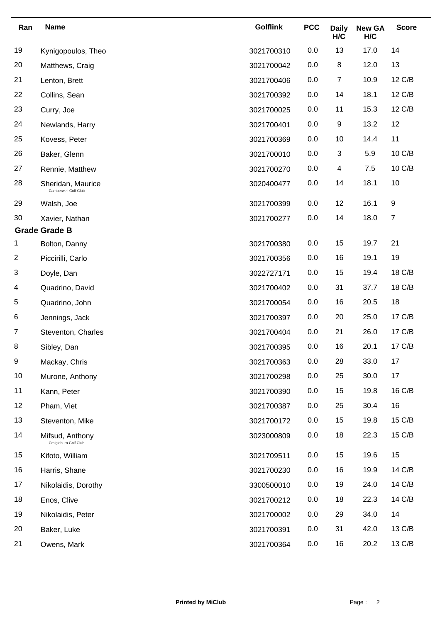| Ran            | <b>Name</b>                               | <b>Golflink</b> | <b>PCC</b> | <b>Daily</b><br>H/C | <b>New GA</b><br>H/C | <b>Score</b>   |
|----------------|-------------------------------------------|-----------------|------------|---------------------|----------------------|----------------|
| 19             | Kynigopoulos, Theo                        | 3021700310      | 0.0        | 13                  | 17.0                 | 14             |
| 20             | Matthews, Craig                           | 3021700042      | 0.0        | 8                   | 12.0                 | 13             |
| 21             | Lenton, Brett                             | 3021700406      | 0.0        | $\overline{7}$      | 10.9                 | 12 C/B         |
| 22             | Collins, Sean                             | 3021700392      | 0.0        | 14                  | 18.1                 | 12 C/B         |
| 23             | Curry, Joe                                | 3021700025      | 0.0        | 11                  | 15.3                 | 12 C/B         |
| 24             | Newlands, Harry                           | 3021700401      | 0.0        | 9                   | 13.2                 | 12             |
| 25             | Kovess, Peter                             | 3021700369      | 0.0        | 10                  | 14.4                 | 11             |
| 26             | Baker, Glenn                              | 3021700010      | 0.0        | 3                   | 5.9                  | 10 C/B         |
| 27             | Rennie, Matthew                           | 3021700270      | 0.0        | 4                   | 7.5                  | 10 C/B         |
| 28             | Sheridan, Maurice<br>Camberwell Golf Club | 3020400477      | 0.0        | 14                  | 18.1                 | 10             |
| 29             | Walsh, Joe                                | 3021700399      | 0.0        | 12                  | 16.1                 | 9              |
| 30             | Xavier, Nathan                            | 3021700277      | 0.0        | 14                  | 18.0                 | $\overline{7}$ |
|                | <b>Grade Grade B</b>                      |                 |            |                     |                      |                |
| 1              | Bolton, Danny                             | 3021700380      | 0.0        | 15                  | 19.7                 | 21             |
| $\overline{c}$ | Piccirilli, Carlo                         | 3021700356      | 0.0        | 16                  | 19.1                 | 19             |
| 3              | Doyle, Dan                                | 3022727171      | 0.0        | 15                  | 19.4                 | 18 C/B         |
| 4              | Quadrino, David                           | 3021700402      | 0.0        | 31                  | 37.7                 | 18 C/B         |
| 5              | Quadrino, John                            | 3021700054      | 0.0        | 16                  | 20.5                 | 18             |
| 6              | Jennings, Jack                            | 3021700397      | 0.0        | 20                  | 25.0                 | 17 C/B         |
| $\overline{7}$ | Steventon, Charles                        | 3021700404      | 0.0        | 21                  | 26.0                 | 17 C/B         |
| 8              | Sibley, Dan                               | 3021700395      | 0.0        | 16                  | 20.1                 | 17 C/B         |
| 9              | Mackay, Chris                             | 3021700363      | 0.0        | 28                  | 33.0                 | 17             |
| 10             | Murone, Anthony                           | 3021700298      | 0.0        | 25                  | 30.0                 | 17             |
| 11             | Kann, Peter                               | 3021700390      | 0.0        | 15                  | 19.8                 | 16 C/B         |
| 12             | Pham, Viet                                | 3021700387      | 0.0        | 25                  | 30.4                 | 16             |
| 13             | Steventon, Mike                           | 3021700172      | 0.0        | 15                  | 19.8                 | 15 C/B         |
| 14             | Mifsud, Anthony<br>Craigieburn Golf Club  | 3023000809      | 0.0        | 18                  | 22.3                 | 15 C/B         |
| 15             | Kifoto, William                           | 3021709511      | 0.0        | 15                  | 19.6                 | 15             |
| 16             | Harris, Shane                             | 3021700230      | 0.0        | 16                  | 19.9                 | 14 C/B         |
| 17             | Nikolaidis, Dorothy                       | 3300500010      | 0.0        | 19                  | 24.0                 | 14 C/B         |
| 18             | Enos, Clive                               | 3021700212      | 0.0        | 18                  | 22.3                 | 14 C/B         |
| 19             | Nikolaidis, Peter                         | 3021700002      | 0.0        | 29                  | 34.0                 | 14             |
| 20             | Baker, Luke                               | 3021700391      | 0.0        | 31                  | 42.0                 | 13 C/B         |
| 21             | Owens, Mark                               | 3021700364      | 0.0        | 16                  | 20.2                 | 13 C/B         |